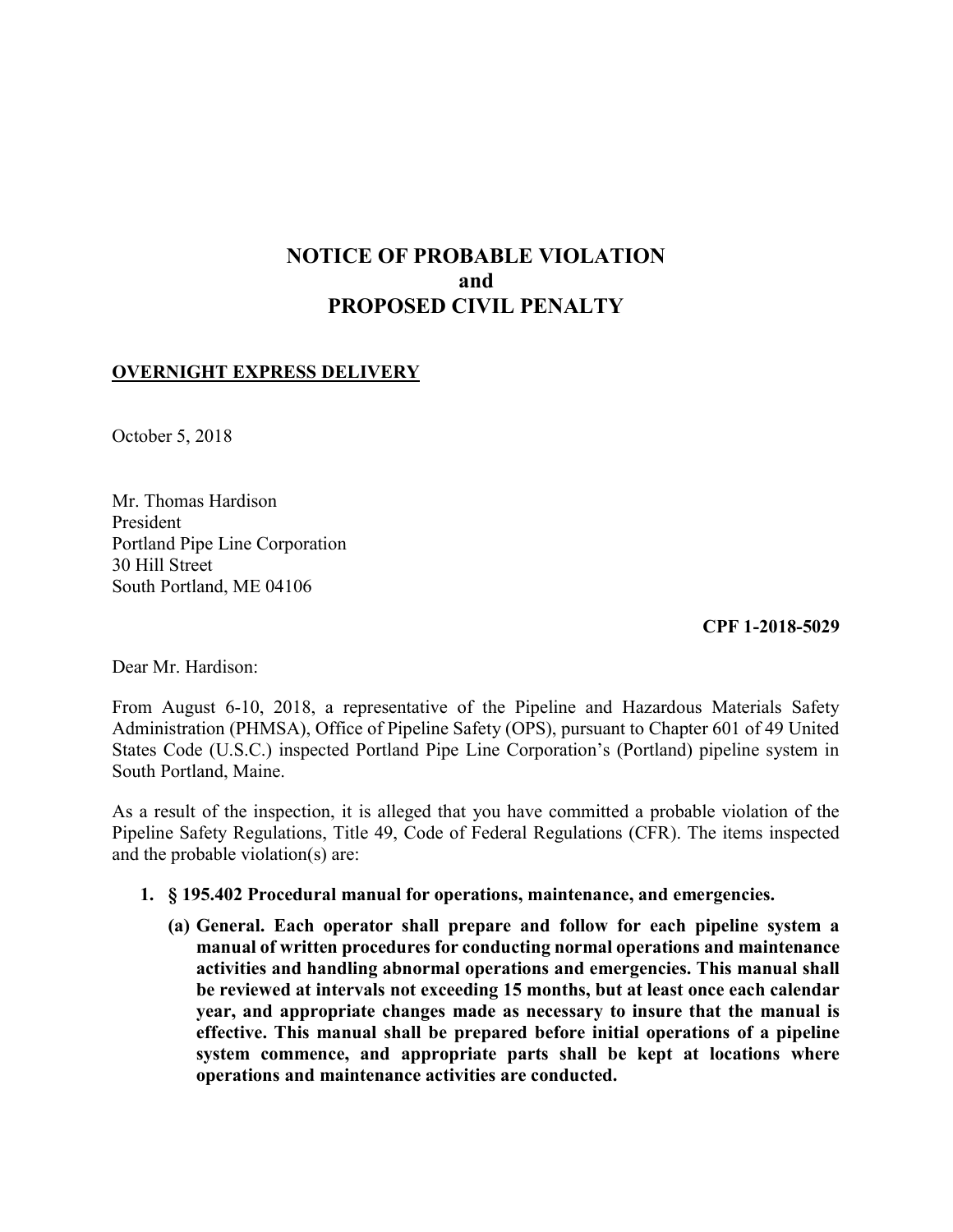# NOTICE OF PROBABLE VIOLATION PROPOSED CIVIL PENALTY and

## OVERNIGHT EXPRESS DELIVERY

October 5, 2018

 Mr. Thomas Hardison Portland Pipe Line Corporation 30 Hill Street South Portland, ME 04106 President

CPF 1-2018-5029

Dear Mr. Hardison:

 From August 6-10, 2018, a representative of the Pipeline and Hazardous Materials Safety Administration (PHMSA), Office of Pipeline Safety (OPS), pursuant to Chapter 601 of 49 United States Code (U.S.C.) inspected Portland Pipe Line Corporation's (Portland) pipeline system in South Portland, Maine.

 As a result of the inspection, it is alleged that you have committed a probable violation of the Pipeline Safety Regulations, Title 49, Code of Federal Regulations (CFR). The items inspected and the probable violation(s) are:

### 1. § 195.402 Procedural manual for operations, maintenance, and emergencies.

 (a) General. Each operator shall prepare and follow for each pipeline system a manual of written procedures for conducting normal operations and maintenance activities and handling abnormal operations and emergencies. This manual shall be reviewed at intervals not exceeding 15 months, but at least once each calendar year, and appropriate changes made as necessary to insure that the manual is effective. This manual shall be prepared before initial operations of a pipeline system commence, and appropriate parts shall be kept at locations where operations and maintenance activities are conducted.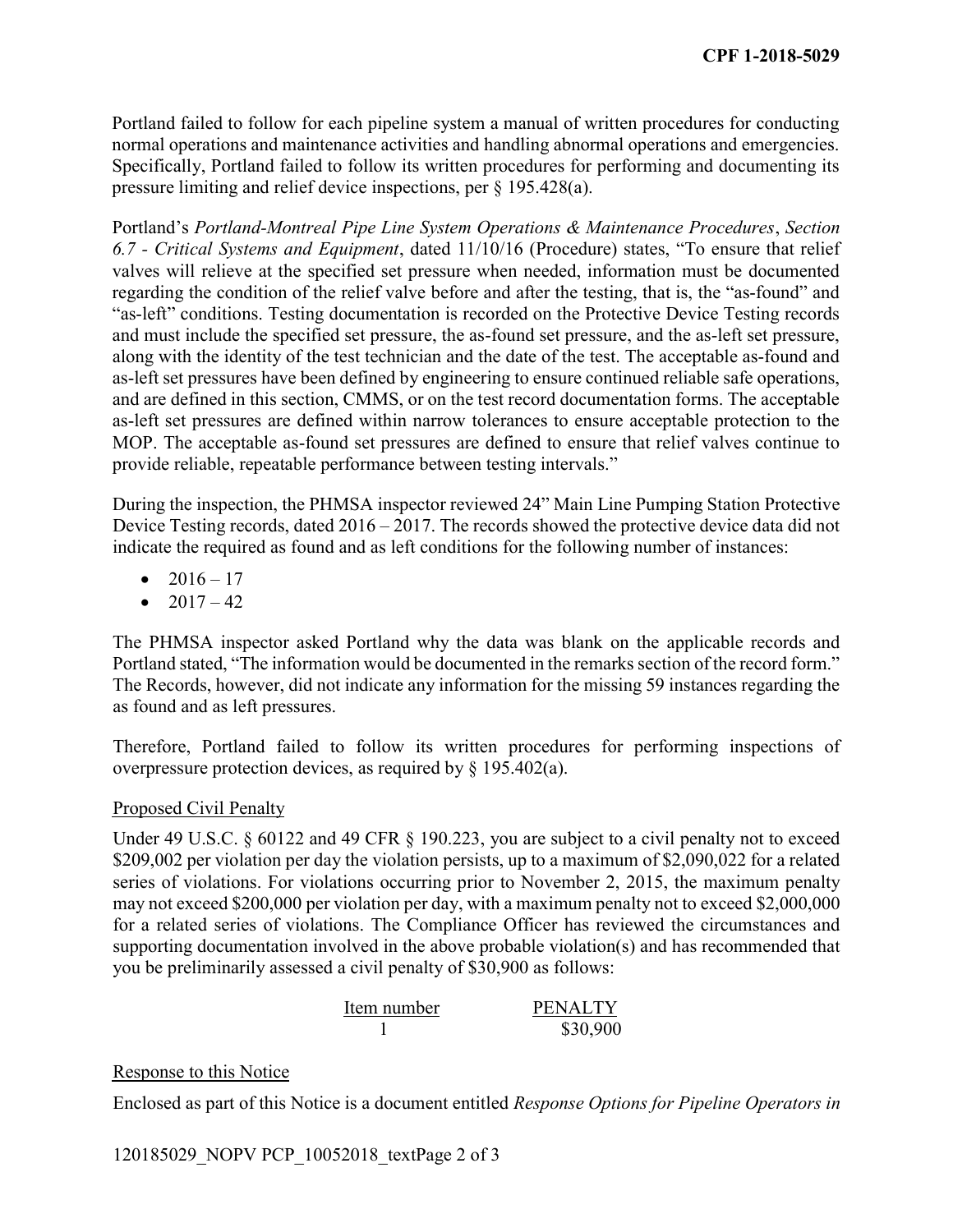Portland failed to follow for each pipeline system a manual of written procedures for conducting normal operations and maintenance activities and handling abnormal operations and emergencies. Specifically, Portland failed to follow its written procedures for performing and documenting its pressure limiting and relief device inspections, per § 195.428(a).

 Portland's Portland-Montreal Pipe Line System Operations & Maintenance Procedures, Section 6.7 - Critical Systems and Equipment, dated 11/10/16 (Procedure) states, "To ensure that relief valves will relieve at the specified set pressure when needed, information must be documented regarding the condition of the relief valve before and after the testing, that is, the "as-found" and "as-left" conditions. Testing documentation is recorded on the Protective Device Testing records and must include the specified set pressure, the as-found set pressure, and the as-left set pressure, along with the identity of the test technician and the date of the test. The acceptable as-found and as-left set pressures have been defined by engineering to ensure continued reliable safe operations, and are defined in this section, CMMS, or on the test record documentation forms. The acceptable as-left set pressures are defined within narrow tolerances to ensure acceptable protection to the MOP. The acceptable as-found set pressures are defined to ensure that relief valves continue to provide reliable, repeatable performance between testing intervals."

 During the inspection, the PHMSA inspector reviewed 24" Main Line Pumping Station Protective Device Testing records, dated 2016 – 2017. The records showed the protective device data did not indicate the required as found and as left conditions for the following number of instances:

- $2016 17$
- $2017 42$

 The PHMSA inspector asked Portland why the data was blank on the applicable records and Portland stated, "The information would be documented in the remarks section of the record form." as found and as left pressures. The Records, however, did not indicate any information for the missing 59 instances regarding the

 Therefore, Portland failed to follow its written procedures for performing inspections of overpressure protection devices, as required by § 195.402(a).

### Proposed Civil Penalty

Under 49 U.S.C. § 60122 and 49 CFR § 190.223, you are subject to a civil penalty not to exceed \$209,002 per violation per day the violation persists, up to a maximum of \$2,090,022 for a related series of violations. For violations occurring prior to November 2, 2015, the maximum penalty may not exceed \$200,000 per violation per day, with a maximum penalty not to exceed \$2,000,000 for a related series of violations. The Compliance Officer has reviewed the circumstances and supporting documentation involved in the above probable violation(s) and has recommended that you be preliminarily assessed a civil penalty of \$30,900 as follows:

| Item number | <b>PENALTY</b> |
|-------------|----------------|
|             | \$30,900       |

### Response to this Notice

Enclosed as part of this Notice is a document entitled Response Options for Pipeline Operators in

120185029\_NOPV PCP\_10052018\_textPage 2 of 3